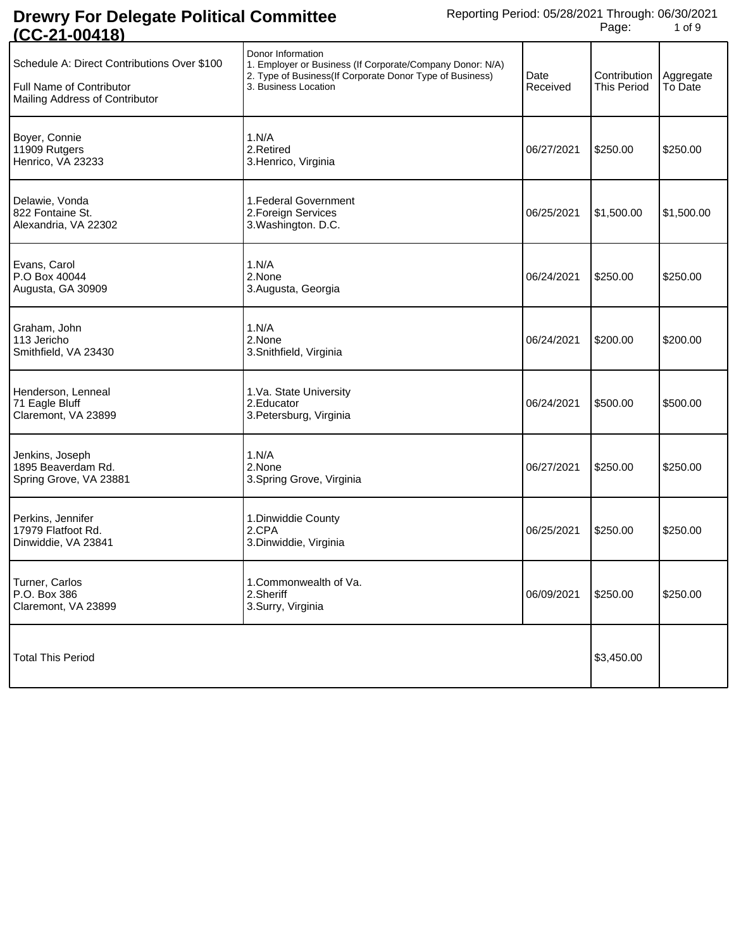| <u>(UU-ZI-UU410)</u>                                                                                      |                                                                                                                                                                     |                  |                                    |                      |
|-----------------------------------------------------------------------------------------------------------|---------------------------------------------------------------------------------------------------------------------------------------------------------------------|------------------|------------------------------------|----------------------|
| Schedule A: Direct Contributions Over \$100<br>Full Name of Contributor<br>Mailing Address of Contributor | Donor Information<br>1. Employer or Business (If Corporate/Company Donor: N/A)<br>2. Type of Business (If Corporate Donor Type of Business)<br>3. Business Location | Date<br>Received | Contribution<br><b>This Period</b> | Aggregate<br>To Date |
| Boyer, Connie<br>11909 Rutgers<br>Henrico, VA 23233                                                       | 1.N/A<br>2.Retired<br>3. Henrico, Virginia                                                                                                                          | 06/27/2021       | \$250.00                           | \$250.00             |
| Delawie, Vonda<br>822 Fontaine St.<br>Alexandria, VA 22302                                                | 1. Federal Government<br>2. Foreign Services<br>3. Washington. D.C.                                                                                                 | 06/25/2021       | \$1,500.00                         | \$1,500.00           |
| Evans, Carol<br>P.O Box 40044<br>Augusta, GA 30909                                                        | 1.N/A<br>2.None<br>3. Augusta, Georgia                                                                                                                              | 06/24/2021       | \$250.00                           | \$250.00             |
| Graham, John<br>113 Jericho<br>Smithfield, VA 23430                                                       | 1.N/A<br>2.None<br>3.Snithfield, Virginia                                                                                                                           | 06/24/2021       | \$200.00                           | \$200.00             |
| Henderson, Lenneal<br>71 Eagle Bluff<br>Claremont, VA 23899                                               | 1.Va. State University<br>2. Educator<br>3. Petersburg, Virginia                                                                                                    | 06/24/2021       | \$500.00                           | \$500.00             |
| Jenkins, Joseph<br>1895 Beaverdam Rd.<br>Spring Grove, VA 23881                                           | 1.N/A<br>2.None<br>3. Spring Grove, Virginia                                                                                                                        | 06/27/2021       | \$250.00                           | \$250.00             |
| Perkins, Jennifer<br>17979 Flatfoot Rd.<br>Dinwiddie, VA 23841                                            | 1. Dinwiddie County<br>2.CPA<br>3.Dinwiddie, Virginia                                                                                                               | 06/25/2021       | \$250.00                           | \$250.00             |
| Turner, Carlos<br>P.O. Box 386<br>Claremont, VA 23899                                                     | 1.Commonwealth of Va.<br>2.Sheriff<br>3.Surry, Virginia                                                                                                             | 06/09/2021       | \$250.00                           | \$250.00             |
| <b>Total This Period</b>                                                                                  |                                                                                                                                                                     |                  | \$3,450.00                         |                      |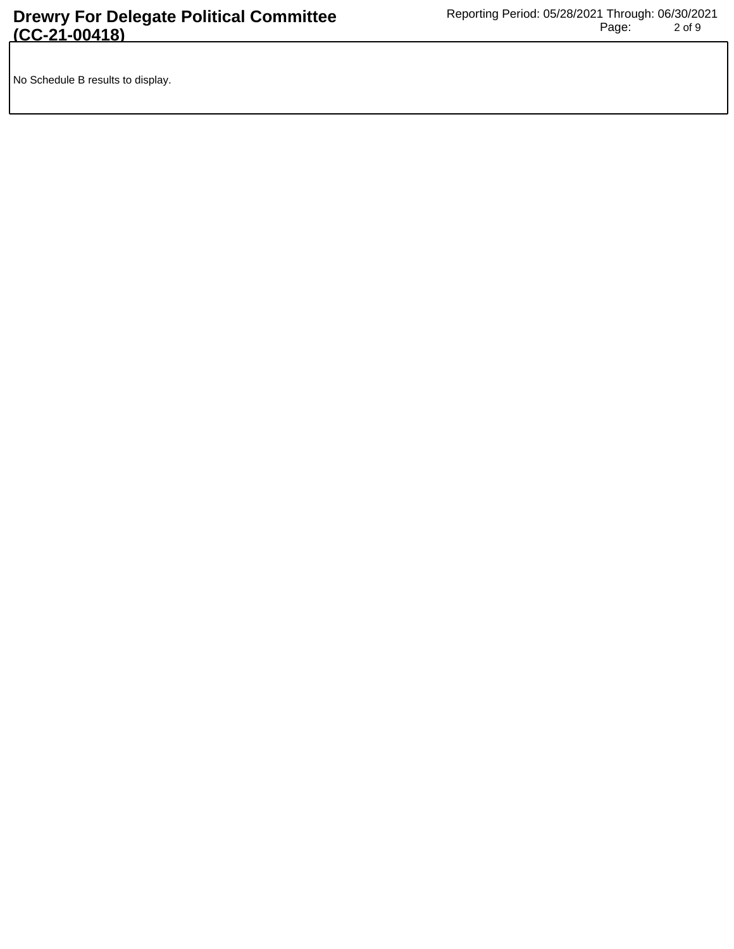No Schedule B results to display.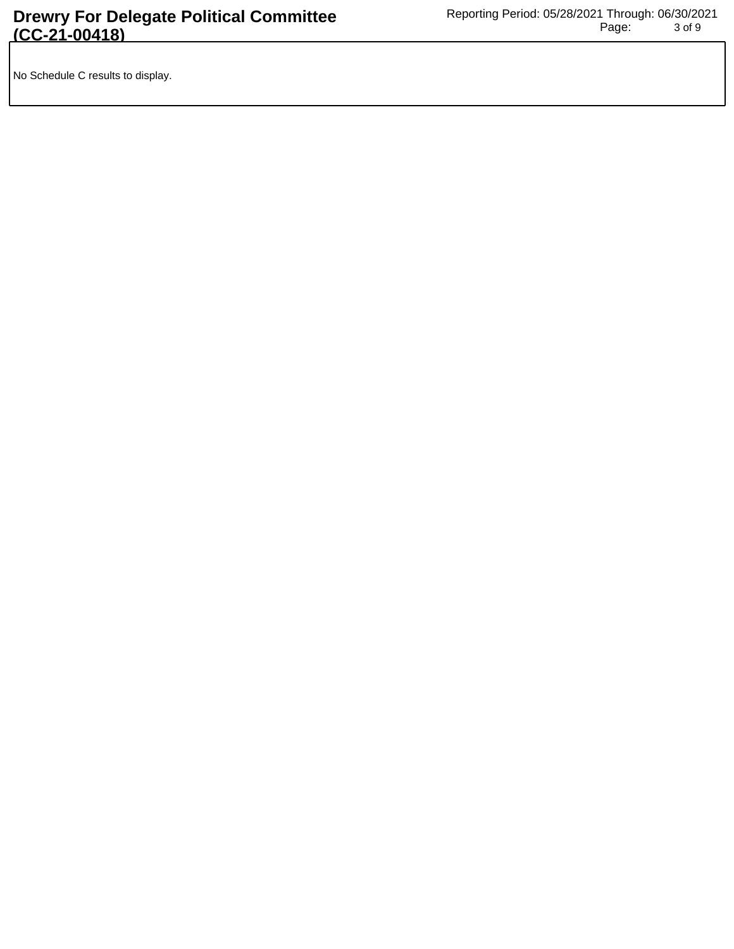No Schedule C results to display.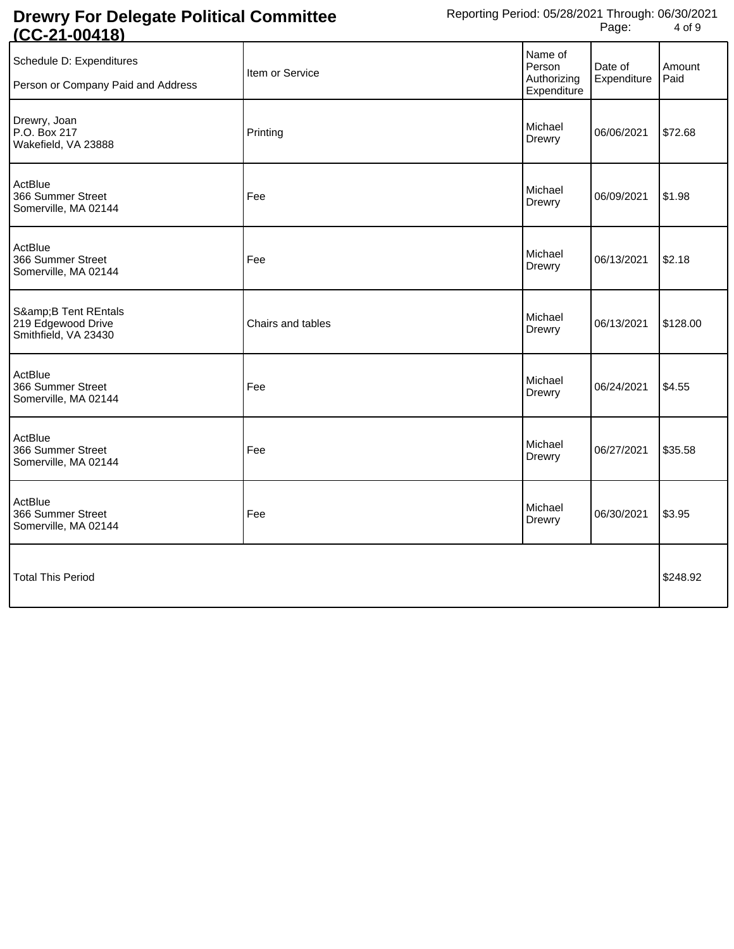| <u> UU-Z I-UU-TIU</u>                                          |                   |                                                 |                        |                |
|----------------------------------------------------------------|-------------------|-------------------------------------------------|------------------------|----------------|
| Schedule D: Expenditures<br>Person or Company Paid and Address | Item or Service   | Name of<br>Person<br>Authorizing<br>Expenditure | Date of<br>Expenditure | Amount<br>Paid |
| Drewry, Joan<br>P.O. Box 217<br>Wakefield, VA 23888            | Printing          | Michael<br>Drewry                               | 06/06/2021             | \$72.68        |
| ActBlue<br>366 Summer Street<br>Somerville, MA 02144           | Fee               | Michael<br>Drewry                               | 06/09/2021             | \$1.98         |
| ActBlue<br>366 Summer Street<br>Somerville, MA 02144           | Fee               | Michael<br>Drewry                               | 06/13/2021             | \$2.18         |
| S&B Tent REntals<br>219 Edgewood Drive<br>Smithfield, VA 23430 | Chairs and tables | Michael<br>Drewry                               | 06/13/2021             | \$128.00       |
| ActBlue<br>366 Summer Street<br>Somerville, MA 02144           | Fee               | Michael<br>Drewry                               | 06/24/2021             | \$4.55         |
| ActBlue<br>366 Summer Street<br>Somerville, MA 02144           | Fee               | Michael<br>Drewry                               | 06/27/2021             | \$35.58        |
| ActBlue<br>366 Summer Street<br>Somerville, MA 02144           | Fee               | Michael<br>Drewry                               | 06/30/2021             | \$3.95         |
| <b>Total This Period</b>                                       |                   |                                                 |                        | \$248.92       |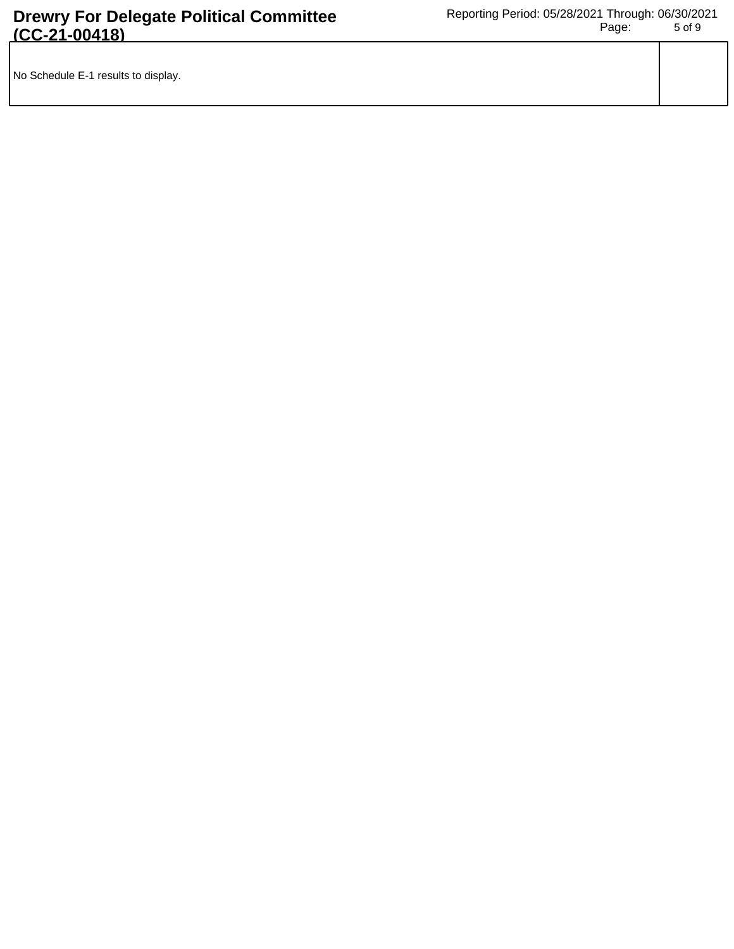|--|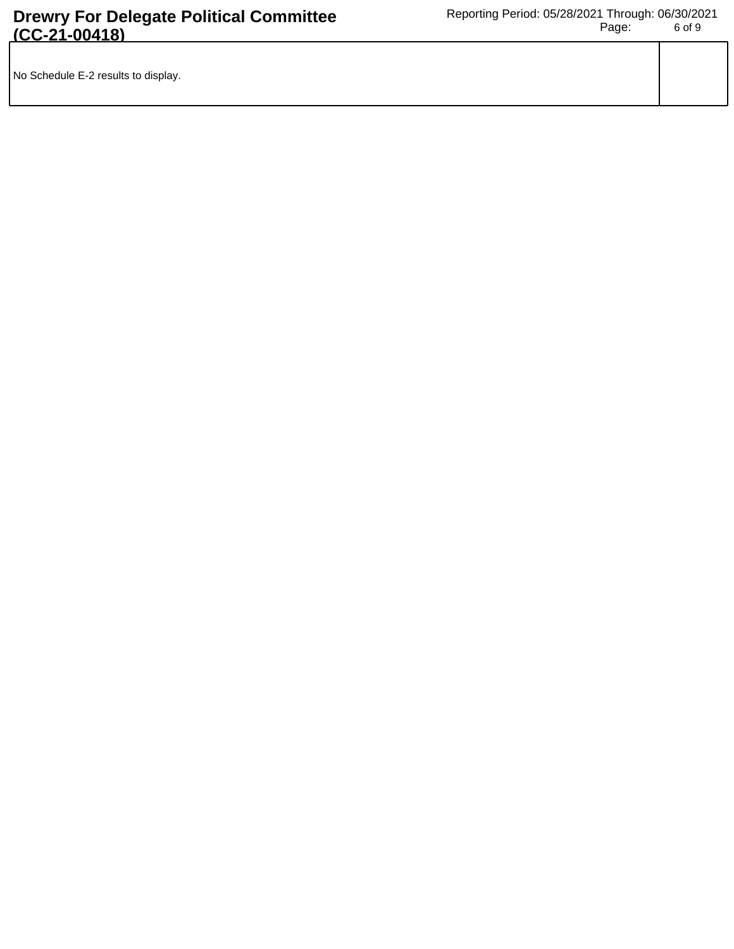|  | No Schedule E-2 results to display. |  |
|--|-------------------------------------|--|
|--|-------------------------------------|--|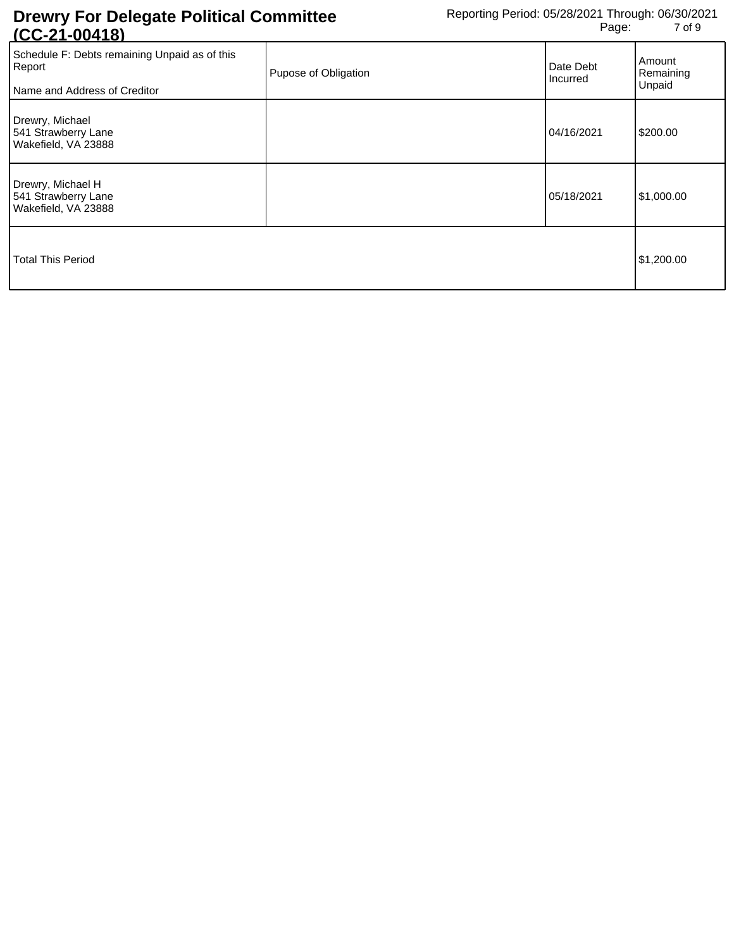| <u>100-41-004101</u>                                                                    |                      |                       |                               |
|-----------------------------------------------------------------------------------------|----------------------|-----------------------|-------------------------------|
| Schedule F: Debts remaining Unpaid as of this<br>Report<br>Name and Address of Creditor | Pupose of Obligation | Date Debt<br>Incurred | Amount<br>Remaining<br>Unpaid |
| Drewry, Michael<br>541 Strawberry Lane<br>Wakefield, VA 23888                           |                      | 04/16/2021            | \$200.00                      |
| Drewry, Michael H<br>541 Strawberry Lane<br>Wakefield, VA 23888                         |                      | 05/18/2021            | \$1,000.00                    |
| <b>Total This Period</b>                                                                |                      |                       | \$1,200.00                    |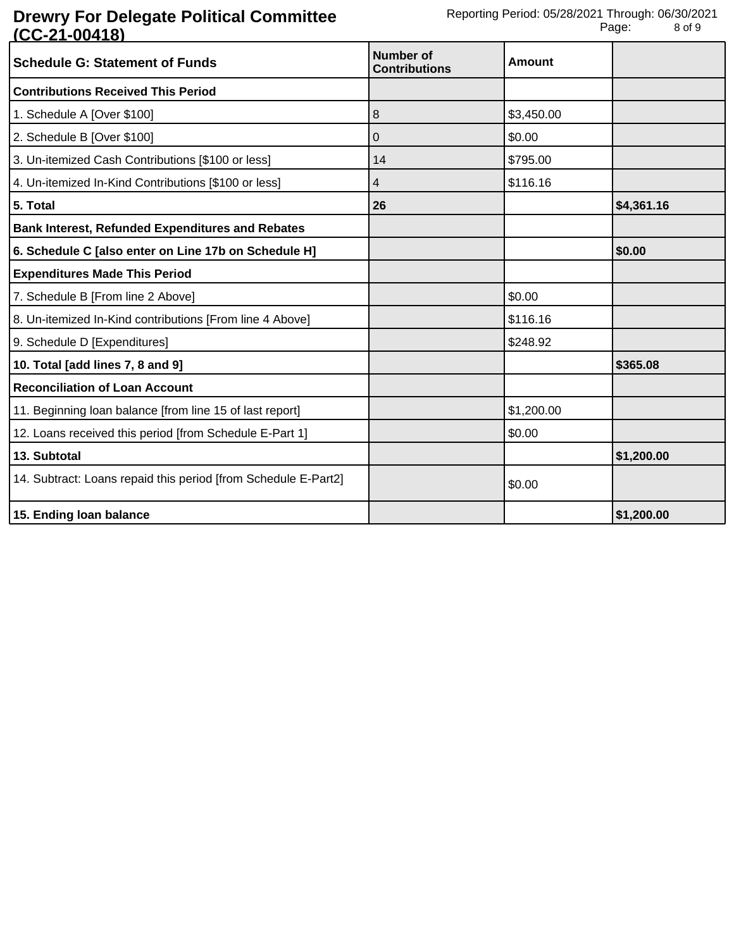| <b>Schedule G: Statement of Funds</b>                          | Number of<br><b>Contributions</b> | <b>Amount</b> |            |
|----------------------------------------------------------------|-----------------------------------|---------------|------------|
| <b>Contributions Received This Period</b>                      |                                   |               |            |
| 1. Schedule A [Over \$100]                                     | 8                                 | \$3,450.00    |            |
| 2. Schedule B [Over \$100]                                     | $\mathbf 0$                       | \$0.00        |            |
| 3. Un-itemized Cash Contributions [\$100 or less]              | 14                                | \$795.00      |            |
| 4. Un-itemized In-Kind Contributions [\$100 or less]           | 4                                 | \$116.16      |            |
| 5. Total                                                       | 26                                |               | \$4,361.16 |
| <b>Bank Interest, Refunded Expenditures and Rebates</b>        |                                   |               |            |
| 6. Schedule C [also enter on Line 17b on Schedule H]           |                                   |               | \$0.00     |
| <b>Expenditures Made This Period</b>                           |                                   |               |            |
| 7. Schedule B [From line 2 Above]                              |                                   | \$0.00        |            |
| 8. Un-itemized In-Kind contributions [From line 4 Above]       |                                   | \$116.16      |            |
| 9. Schedule D [Expenditures]                                   |                                   | \$248.92      |            |
| 10. Total [add lines 7, 8 and 9]                               |                                   |               | \$365.08   |
| <b>Reconciliation of Loan Account</b>                          |                                   |               |            |
| 11. Beginning loan balance [from line 15 of last report]       |                                   | \$1,200.00    |            |
| 12. Loans received this period [from Schedule E-Part 1]        |                                   | \$0.00        |            |
| 13. Subtotal                                                   |                                   |               | \$1,200.00 |
| 14. Subtract: Loans repaid this period [from Schedule E-Part2] |                                   | \$0.00        |            |
| 15. Ending loan balance                                        |                                   |               | \$1,200.00 |